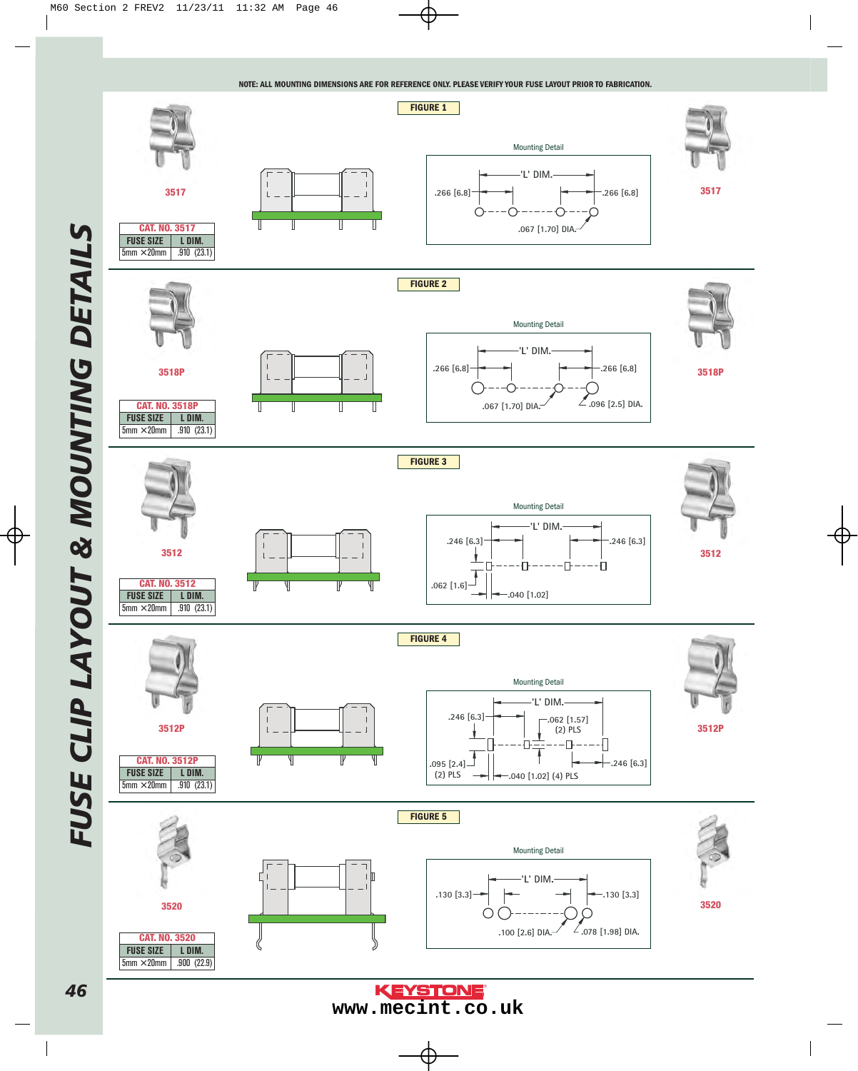

**KEYSTONE** 

**www.mecint.co.uk**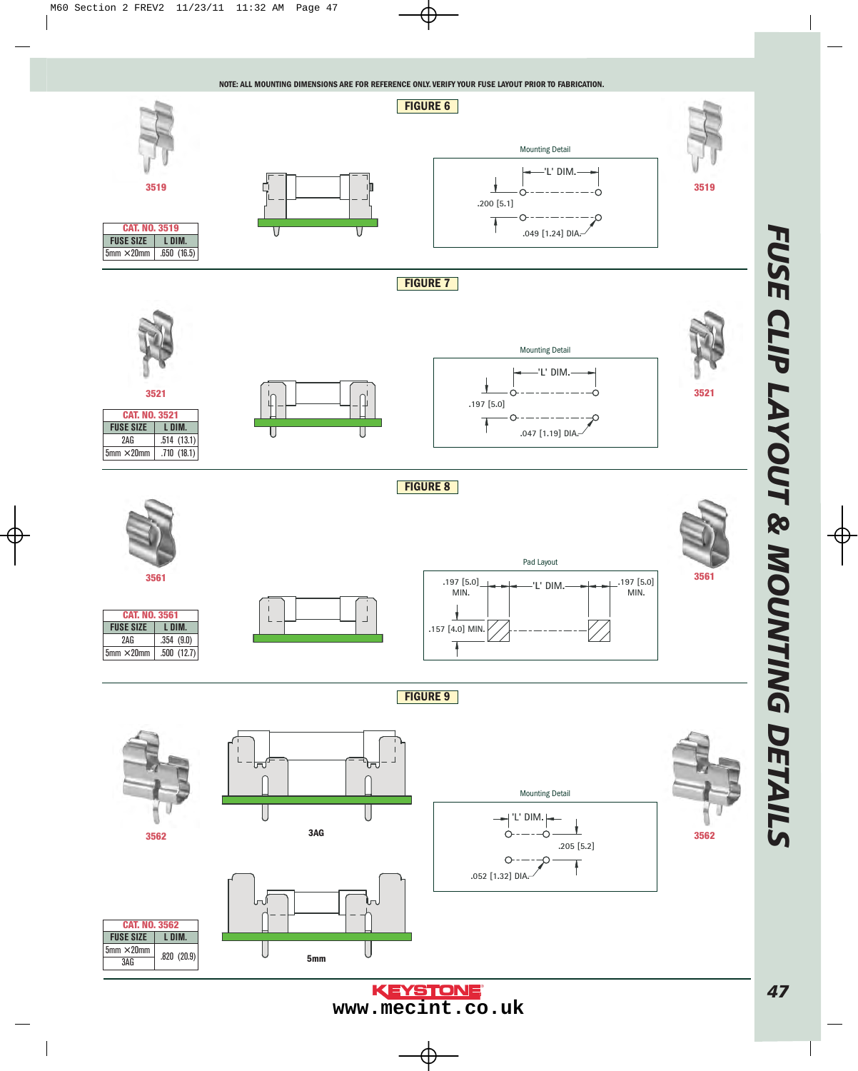



*47*

**KEYSTONE www.mecint.co.uk**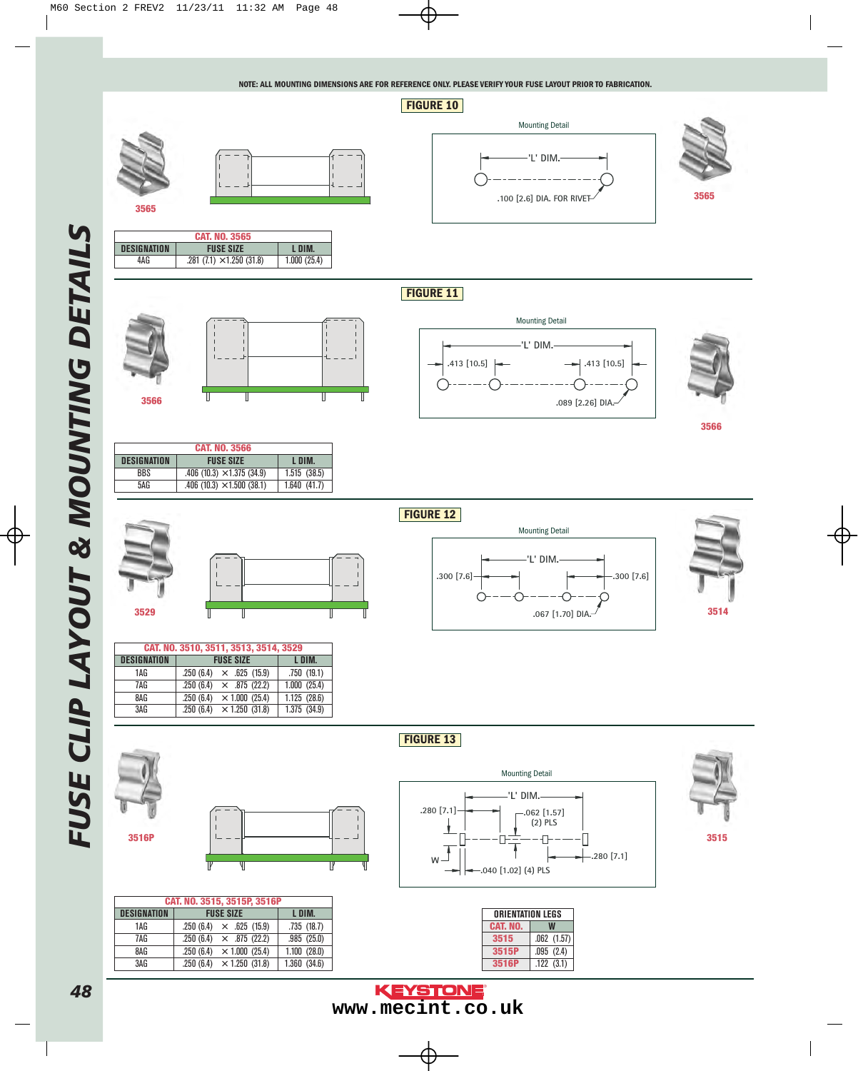**3566**

۹

| 3565       |                                  |             |  |
|------------|----------------------------------|-------------|--|
|            | <b>CAT. NO. 3565</b>             |             |  |
| ESIGNATION | <b>FUSE SIZE</b>                 | L DIM.      |  |
| 4AG        | .281 $(7.1) \times 1.250$ (31.8) | 1.000(25.4) |  |
|            |                                  |             |  |
|            |                                  |             |  |



**FIGURE 12**

**.067 [1.70] DIA. 3529 3514**

C

**FIGURE 13**

**3516P 3515**

**KEYSTONE** 

**www.mecint.co.uk**



**CAT. NO. 3510, 3511, 3513, 3514, 3529 DESIGNATION FUSE SIZE L DIM.**<br>1AG .250 (6.4)  $\times$  .625 (15.9) .750 (19.1) 1AG .250 (6.4)  $\times$  .625 (15.9) .750 (19.1)<br>7AG .250 (6.4)  $\times$  .875 (22.2) 1.000 (25.4) 7AG  $.250 (6.4) \times .875 (22.2) 1.000 (25.4)$ <br>8AG  $.250 (6.4) \times 1.000 (25.4) 1.125 (28.6)$  $.250(6.4) \times 1.000(25.4)$  $3AG$  .250 (6.4)  $\times$  1.250 (31.8) 1.375 (34.9)

**CAT. NO. 3566 DESIGNATION FUSE SIZE L DIM.** BBS .406 (10.3)  $\times$  1.375 (34.9) 1.515 (38.5)  $5AG$  .406 (10.3)  $\times$  1.500 (38.1) 1.640 (41.7)

Ţ

Ţ

 $\overline{\mathbb{T}}$ 

T

**CAT. NO. 3515, 3515P, 3516P DESIGNATION FUSE SIZE L DIM.** 1AG .250 (6.4)  $\times$  .625 (15.9) .735 (18.7) 7AG .250  $(6.4) \times .875$   $(22.2)$  .985  $(25.0)$ 8AG .250 (6.4)  $\times$  1.000 (25.4) 1.100 (28.0)  $3\overline{AB}$  .250 (6.4)  $\times$  1.250 (31.8) 1.360 (34.6)



**'L' DIM. .300 [7.6]** <br>**300 [7.6]** 

⊂

**'L' DIM.**

Mounting Detail

**(2) PLS**

**.280 [7.1] .062 [1.57]**

**.040 [1.02] (4) PLS**

 $W \stackrel{4}{\longrightarrow}$   $\Big| \Big| \qquad \qquad \Big| \qquad \qquad \Big| \qquad \Big| \qquad \Big| \qquad \Big| \qquad \Big| \qquad \Big| \qquad \Big| \qquad \Big| \qquad \Big| \qquad \Big| \qquad \Big| \qquad \Big| \qquad \Big| \qquad \Big| \qquad \Big| \qquad \Big| \qquad \Big| \qquad \Big| \qquad \Big| \qquad \Big| \qquad \Big| \qquad \Big| \qquad \Big| \qquad \Big| \qquad \Big| \qquad \Big| \qquad \Big| \qquad \Big| \qquad \Big| \qquad \Big| \qquad \Big| \qquad$ 

**ORIENTATION LEGS CAT. NO. W 3515** .062 (1.57) **3515P** .095 (2.4) **3516P** .122 (3.1)

Mounting Detail

 $.413 [10.5]$   $\leftarrow$   $\leftarrow$   $.413 [10.5]$ **'L' DIM.**

Mounting Detail

**.089 [2.26] DIA.**



**3566**

**FIGURE 10**